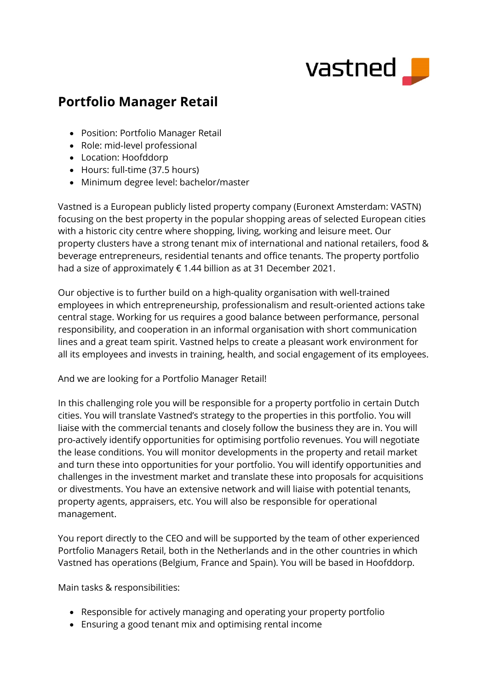

## **Portfolio Manager Retail**

- Position: Portfolio Manager Retail
- Role: mid-level professional
- Location: Hoofddorp
- Hours: full-time (37.5 hours)
- Minimum degree level: bachelor/master

Vastned is a European publicly listed property company (Euronext Amsterdam: VASTN) focusing on the best property in the popular shopping areas of selected European cities with a historic city centre where shopping, living, working and leisure meet. Our property clusters have a strong tenant mix of international and national retailers, food & beverage entrepreneurs, residential tenants and office tenants. The property portfolio had a size of approximately € 1.44 billion as at 31 December 2021.

Our objective is to further build on a high-quality organisation with well-trained employees in which entrepreneurship, professionalism and result-oriented actions take central stage. Working for us requires a good balance between performance, personal responsibility, and cooperation in an informal organisation with short communication lines and a great team spirit. Vastned helps to create a pleasant work environment for all its employees and invests in training, health, and social engagement of its employees.

And we are looking for a Portfolio Manager Retail!

In this challenging role you will be responsible for a property portfolio in certain Dutch cities. You will translate Vastned's strategy to the properties in this portfolio. You will liaise with the commercial tenants and closely follow the business they are in. You will pro-actively identify opportunities for optimising portfolio revenues. You will negotiate the lease conditions. You will monitor developments in the property and retail market and turn these into opportunities for your portfolio. You will identify opportunities and challenges in the investment market and translate these into proposals for acquisitions or divestments. You have an extensive network and will liaise with potential tenants, property agents, appraisers, etc. You will also be responsible for operational management.

You report directly to the CEO and will be supported by the team of other experienced Portfolio Managers Retail, both in the Netherlands and in the other countries in which Vastned has operations (Belgium, France and Spain). You will be based in Hoofddorp.

Main tasks & responsibilities:

- Responsible for actively managing and operating your property portfolio
- Ensuring a good tenant mix and optimising rental income